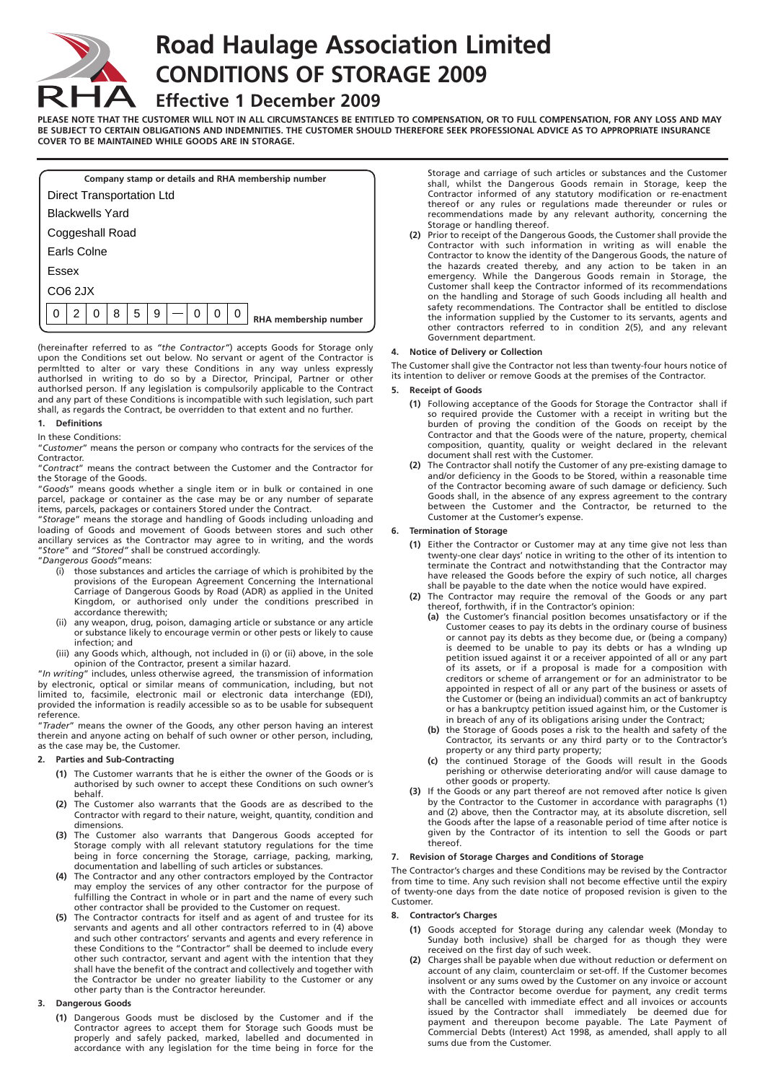

# **Road Haulage Association Limited CONDITIONS OF STORAGE 2009**

# **Effective 1 December 2009**

**PLEASE NOTE THAT THE CUSTOMER WILL NOT IN ALL CIRCUMSTANCES BE ENTITLED TO COMPENSATION, OR TO FULL COMPENSATION, FOR ANY LOSS AND MAY BE SUBJECT TO CERTAIN OBLIGATIONS AND INDEMNITIES. THE CUSTOMER SHOULD THEREFORE SEEK PROFESSIONAL ADVICE AS TO APPROPRIATE INSURANCE COVER TO BE MAINTAINED WHILE GOODS ARE IN STORAGE.**

| Company stamp or details and RHA membership number |   |   |   |   |   |  |   |   |   |                       |
|----------------------------------------------------|---|---|---|---|---|--|---|---|---|-----------------------|
| Direct Transportation Ltd                          |   |   |   |   |   |  |   |   |   |                       |
| <b>Blackwells Yard</b>                             |   |   |   |   |   |  |   |   |   |                       |
| Coggeshall Road                                    |   |   |   |   |   |  |   |   |   |                       |
| Earls Colne                                        |   |   |   |   |   |  |   |   |   |                       |
| Essex                                              |   |   |   |   |   |  |   |   |   |                       |
| CO6 2JX                                            |   |   |   |   |   |  |   |   |   |                       |
| 0                                                  | 2 | 0 | 8 | 5 | 9 |  | 0 | 0 | 0 | RHA membership number |
|                                                    |   |   |   |   |   |  |   |   |   |                       |

(hereinafter referred to as *"the Contractor"*) accepts Goods for Storage only upon the Conditions set out below. No servant or agent of the Contractor is permltted to alter or vary these Conditions in any way unless expressly authorlsed in writing to do so by a Director, Principal, Partner or other authorlsed person. If any legislation is compulsorily applicable to the Contract and any part of these Conditions is incompatible with such legislation, such part shall, as regards the Contract, be overridden to that extent and no further.

#### **1. Definitions**

#### In these Conditions:

"*Customer*" means the person or company who contracts for the services of the Contractor.

"*Contract*" means the contract between the Customer and the Contractor for the Storage of the Goods.

"*Goods*" means goods whether a single item or in bulk or contained in one parcel, package or container as the case may be or any number of separate items, parcels, packages or containers Stored under the Contract.

"*Storage*" means the storage and handling of Goods including unloading and loading of Goods and movement of Goods between stores and such other ancillary services as the Contractor may agree to in writing, and the words "*Store*" and *"Stored"* shall be construed accordingly.

- "*Dangerous Goods*"means:
	- (i) those substances and articles the carriage of which is prohibited by the provisions of the European Agreement Concerning the International Carriage of Dangerous Goods by Road (ADR) as applied in the United Kingdom, or authorised only under the conditions prescribed in accordance therewith;
	- (ii) any weapon, drug, poison, damaging article or substance or any article or substance likely to encourage vermin or other pests or likely to cause infection; and
	- (iii) any Goods which, although, not included in (i) or (ii) above, in the sole opinion of the Contractor, present a similar hazard.

"*In writing*" includes, unless otherwise agreed, the transmission of information by electronic, optical or similar means of communication, including, but not limited to, facsimile, electronic mail or electronic data interchange (EDI), provided the information is readily accessible so as to be usable for subsequent reference.

"*Trader*" means the owner of the Goods, any other person having an interest therein and anyone acting on behalf of such owner or other person, including, as the case may be, the Customer.

# **2. Parties and Sub-Contracting**

- **(1)** The Customer warrants that he is either the owner of the Goods or is authorised by such owner to accept these Conditions on such owner's behalf.
- **(2)** The Customer also warrants that the Goods are as described to the Contractor with regard to their nature, weight, quantity, condition and dimensions.
- **(3)** The Customer also warrants that Dangerous Goods accepted for Storage comply with all relevant statutory regulations for the time being in force concerning the Storage, carriage, packing, marking, documentation and labelling of such articles or substances.
- **(4)** The Contractor and any other contractors employed by the Contractor may employ the services of any other contractor for the purpose of fulfilling the Contract in whole or in part and the name of every such other contractor shall be provided to the Customer on request.
- **(5)** The Contractor contracts for itself and as agent of and trustee for its servants and agents and all other contractors referred to in (4) above and such other contractors' servants and agents and every reference in these Conditions to the "Contractor" shall be deemed to include every other such contractor, servant and agent with the intention that they shall have the benefit of the contract and collectively and together with the Contractor be under no greater liability to the Customer or any other party than is the Contractor hereunder.

# **3. Dangerous Goods**

**(1)** Dangerous Goods must be disclosed by the Customer and if the Contractor agrees to accept them for Storage such Goods must be properly and safely packed, marked, labelled and documented in accordance with any legislation for the time being in force for the

Storage and carriage of such articles or substances and the Customer shall, whilst the Dangerous Goods remain in Storage, keep the Contractor informed of any statutory modification or re-enactment thereof or any rules or regulations made thereunder or rules or recommendations made by any relevant authority, concerning the Storage or handling thereof.

**(2)** Prior to receipt of the Dangerous Goods, the Customer shall provide the Contractor with such information in writing as will enable the Contractor to know the identity of the Dangerous Goods, the nature of the hazards created thereby, and any action to be taken in an emergency. While the Dangerous Goods remain in Storage, the Customer shall keep the Contractor informed of its recommendations on the handling and Storage of such Goods including all health and safety recommendations. The Contractor shall be entitled to disclose the information supplied by the Customer to its servants, agents and other contractors referred to in condition 2(5), and any relevant Government department.

# **4. Notice of Delivery or Collection**

The Customer shall give the Contractor not less than twenty-four hours notice of its intention to deliver or remove Goods at the premises of the Contractor.

# **5. Receipt of Goods**

- **(1)** Following acceptance of the Goods for Storage the Contractor shall if so required provide the Customer with a receipt in writing but the burden of proving the condition of the Goods on receipt by the Contractor and that the Goods were of the nature, property, chemical composition, quantity, quality or weight declared in the relevant document shall rest with the Customer.
- **(2)** The Contractor shall notify the Customer of any pre-existing damage to and/or deficiency in the Goods to be Stored, within a reasonable time of the Contractor becoming aware of such damage or deficiency. Such Goods shall, in the absence of any express agreement to the contrary between the Customer and the Contractor, be returned to the Customer at the Customer's expense.

## **6. Termination of Storage**

- **(1)** Either the Contractor or Customer may at any time give not less than twenty-one clear days' notice in writing to the other of its intention to terminate the Contract and notwithstanding that the Contractor may have released the Goods before the expiry of such notice, all charges shall be payable to the date when the notice would have expired.
- **(2)** The Contractor may require the removal of the Goods or any part thereof, forthwith, if in the Contractor's opinion:
	- **(a)** the Customer's financial positIon becomes unsatisfactory or if the Customer ceases to pay its debts in the ordinary course of business or cannot pay its debts as they become due, or (being a company) is deemed to be unable to pay its debts or has a wInding up petition issued against it or a receiver appointed of all or any part of its assets, or if a proposal is made for a composition with creditors or scheme of arrangement or for an administrator to be appointed in respect of all or any part of the business or assets of the Customer or (being an individual) commits an act of bankruptcy or has a bankruptcy petition issued against him, or the Customer is in breach of any of its obligations arising under the Contract;
	- **(b)** the Storage of Goods poses a risk to the health and safety of the Contractor, its servants or any third party or to the Contractor's property or any third party property;
	- **(c)** the continued Storage of the Goods will result in the Goods perishing or otherwise deteriorating and/or will cause damage to other goods or property.
- **(3)** If the Goods or any part thereof are not removed after notice Is given by the Contractor to the Customer in accordance with paragraphs (1) and (2) above, then the Contractor may, at its absolute discretion, sell the Goods after the lapse of a reasonable period of time after notice is given by the Contractor of its intention to sell the Goods or part thereof.

#### **7. Revision of Storage Charges and Conditions of Storage**

The Contractor's charges and these Conditions may be revised by the Contractor from time to time. Any such revision shall not become effective until the expiry of twenty-one days from the date notice of proposed revision is given to the Customer.

#### **8. Contractor's Charges**

- **(1)** Goods accepted for Storage during any calendar week (Monday to Sunday both inclusive) shall be charged for as though they were received on the first day of such week.
- **(2)** Charges shall be payable when due without reduction or deferment on account of any claim, counterclaim or set-off. If the Customer becomes insolvent or any sums owed by the Customer on any invoice or account with the Contractor become overdue for payment, any credit terms shall be cancelled with immediate effect and all invoices or accounts issued by the Contractor shall immediately be deemed due for payment and thereupon become payable. The Late Payment of Commercial Debts (Interest) Act 1998, as amended, shall apply to all sums due from the Customer.